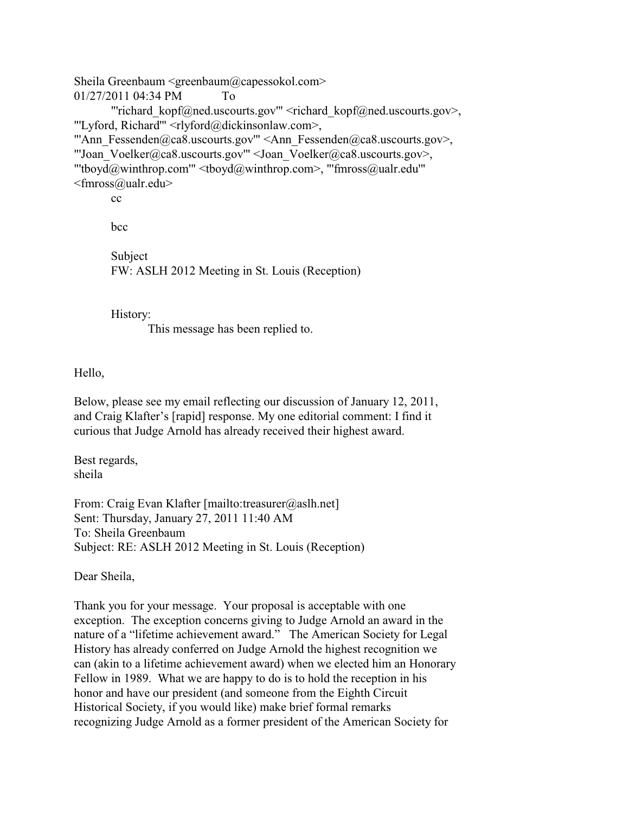Sheila Greenbaum <greenbaum@capessokol.com> 01/27/2011 04:34 PM To "richard\_kopf@ned.uscourts.gov"' <richard\_kopf@ned.uscourts.gov>, "'Lyford, Richard'" <rlyford@dickinsonlaw.com>, "'Ann\_Fessenden@ca8.uscourts.gov'" <Ann\_Fessenden@ca8.uscourts.gov>, "'Joan\_Voelker@ca8.uscourts.gov'" <Joan\_Voelker@ca8.uscourts.gov>, "'tboyd@winthrop.com'" <tboyd@winthrop.com>, "'fmross@ualr.edu'" <fmross@ualr.edu> cc

bcc

Subject FW: ASLH 2012 Meeting in St. Louis (Reception)

History:

This message has been replied to.

Hello,

Below, please see my email reflecting our discussion of January 12, 2011, and Craig Klafter's [rapid] response. My one editorial comment: I find it curious that Judge Arnold has already received their highest award.

Best regards, sheila

From: Craig Evan Klafter [mailto:treasurer@aslh.net] Sent: Thursday, January 27, 2011 11:40 AM To: Sheila Greenbaum Subject: RE: ASLH 2012 Meeting in St. Louis (Reception)

Dear Sheila,

Thank you for your message. Your proposal is acceptable with one exception. The exception concerns giving to Judge Arnold an award in the nature of a "lifetime achievement award." The American Society for Legal History has already conferred on Judge Arnold the highest recognition we can (akin to a lifetime achievement award) when we elected him an Honorary Fellow in 1989. What we are happy to do is to hold the reception in his honor and have our president (and someone from the Eighth Circuit Historical Society, if you would like) make brief formal remarks recognizing Judge Arnold as a former president of the American Society for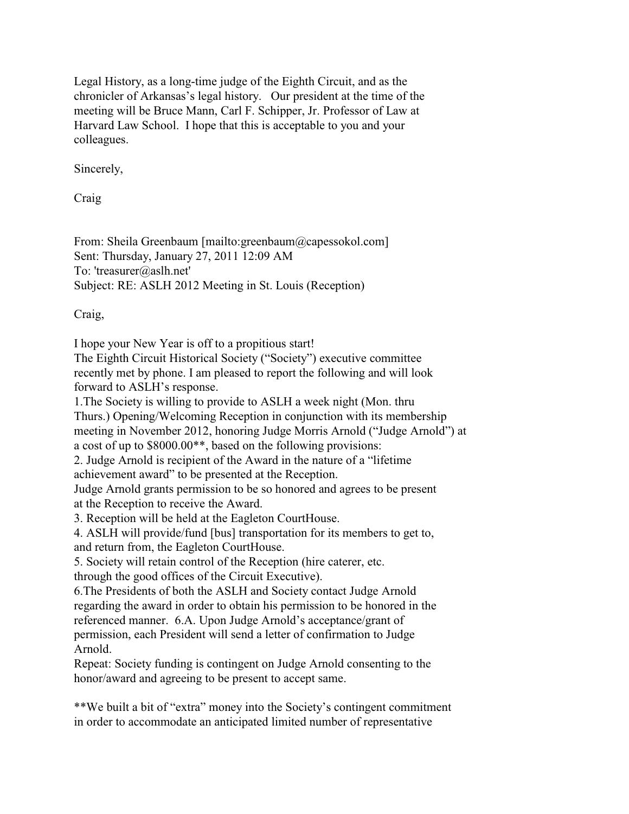Legal History, as a long-time judge of the Eighth Circuit, and as the chronicler of Arkansas's legal history. Our president at the time of the meeting will be Bruce Mann, Carl F. Schipper, Jr. Professor of Law at Harvard Law School. I hope that this is acceptable to you and your colleagues.

Sincerely,

Craig

From: Sheila Greenbaum [mailto:greenbaum@capessokol.com] Sent: Thursday, January 27, 2011 12:09 AM To: 'treasurer@aslh.net' Subject: RE: ASLH 2012 Meeting in St. Louis (Reception)

Craig,

I hope your New Year is off to a propitious start!

The Eighth Circuit Historical Society ("Society") executive committee recently met by phone. I am pleased to report the following and will look forward to ASLH's response.

1.The Society is willing to provide to ASLH a week night (Mon. thru Thurs.) Opening/Welcoming Reception in conjunction with its membership meeting in November 2012, honoring Judge Morris Arnold ("Judge Arnold") at a cost of up to \$8000.00\*\*, based on the following provisions:

2. Judge Arnold is recipient of the Award in the nature of a "lifetime achievement award" to be presented at the Reception.

Judge Arnold grants permission to be so honored and agrees to be present at the Reception to receive the Award.

3. Reception will be held at the Eagleton CourtHouse.

4. ASLH will provide/fund [bus] transportation for its members to get to, and return from, the Eagleton CourtHouse.

5. Society will retain control of the Reception (hire caterer, etc. through the good offices of the Circuit Executive).

6.The Presidents of both the ASLH and Society contact Judge Arnold regarding the award in order to obtain his permission to be honored in the referenced manner. 6.A. Upon Judge Arnold's acceptance/grant of permission, each President will send a letter of confirmation to Judge Arnold.

Repeat: Society funding is contingent on Judge Arnold consenting to the honor/award and agreeing to be present to accept same.

\*\*We built a bit of "extra" money into the Society's contingent commitment in order to accommodate an anticipated limited number of representative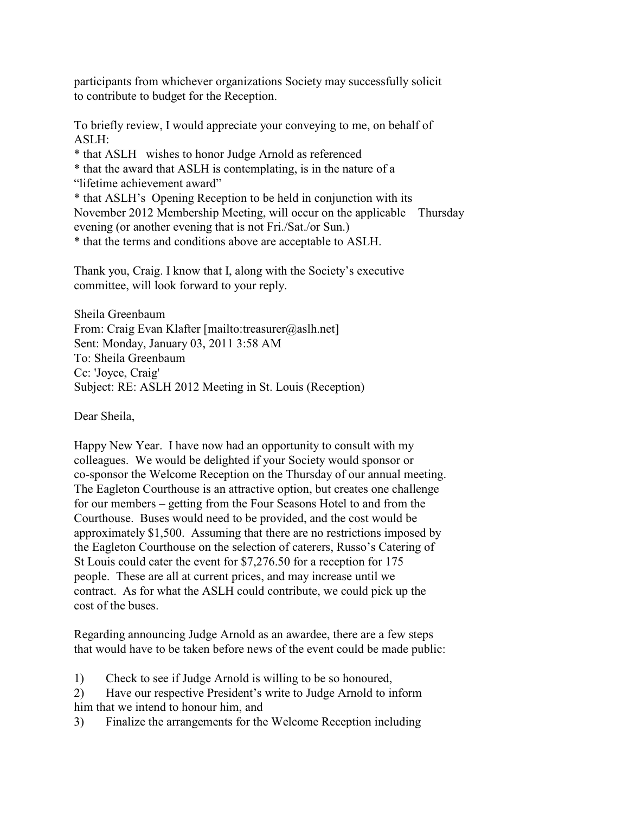participants from whichever organizations Society may successfully solicit to contribute to budget for the Reception.

To briefly review, I would appreciate your conveying to me, on behalf of ASLH:

\* that ASLH wishes to honor Judge Arnold as referenced

\* that the award that ASLH is contemplating, is in the nature of a "lifetime achievement award"

\* that ASLH's Opening Reception to be held in conjunction with its November 2012 Membership Meeting, will occur on the applicable Thursday evening (or another evening that is not Fri./Sat./or Sun.)

\* that the terms and conditions above are acceptable to ASLH.

Thank you, Craig. I know that I, along with the Society's executive committee, will look forward to your reply.

Sheila Greenbaum From: Craig Evan Klafter [mailto:treasurer@aslh.net] Sent: Monday, January 03, 2011 3:58 AM To: Sheila Greenbaum Cc: 'Joyce, Craig' Subject: RE: ASLH 2012 Meeting in St. Louis (Reception)

Dear Sheila,

Happy New Year. I have now had an opportunity to consult with my colleagues. We would be delighted if your Society would sponsor or co-sponsor the Welcome Reception on the Thursday of our annual meeting. The Eagleton Courthouse is an attractive option, but creates one challenge for our members – getting from the Four Seasons Hotel to and from the Courthouse. Buses would need to be provided, and the cost would be approximately \$1,500. Assuming that there are no restrictions imposed by the Eagleton Courthouse on the selection of caterers, Russo's Catering of St Louis could cater the event for \$7,276.50 for a reception for 175 people. These are all at current prices, and may increase until we contract. As for what the ASLH could contribute, we could pick up the cost of the buses.

Regarding announcing Judge Arnold as an awardee, there are a few steps that would have to be taken before news of the event could be made public:

1) Check to see if Judge Arnold is willing to be so honoured,

2) Have our respective President's write to Judge Arnold to inform him that we intend to honour him, and

3) Finalize the arrangements for the Welcome Reception including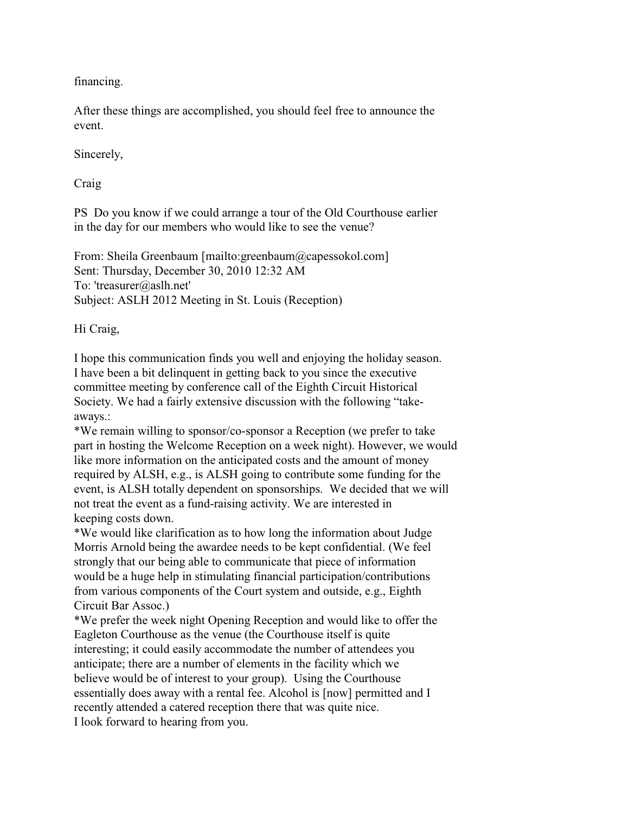financing.

After these things are accomplished, you should feel free to announce the event.

Sincerely,

Craig

PS Do you know if we could arrange a tour of the Old Courthouse earlier in the day for our members who would like to see the venue?

From: Sheila Greenbaum [mailto:greenbaum@capessokol.com] Sent: Thursday, December 30, 2010 12:32 AM To: 'treasurer@aslh.net' Subject: ASLH 2012 Meeting in St. Louis (Reception)

Hi Craig,

I hope this communication finds you well and enjoying the holiday season. I have been a bit delinquent in getting back to you since the executive committee meeting by conference call of the Eighth Circuit Historical Society. We had a fairly extensive discussion with the following "takeaways.:

\*We remain willing to sponsor/co-sponsor a Reception (we prefer to take part in hosting the Welcome Reception on a week night). However, we would like more information on the anticipated costs and the amount of money required by ALSH, e.g., is ALSH going to contribute some funding for the event, is ALSH totally dependent on sponsorships. We decided that we will not treat the event as a fund-raising activity. We are interested in keeping costs down.

\*We would like clarification as to how long the information about Judge Morris Arnold being the awardee needs to be kept confidential. (We feel strongly that our being able to communicate that piece of information would be a huge help in stimulating financial participation/contributions from various components of the Court system and outside, e.g., Eighth Circuit Bar Assoc.)

\*We prefer the week night Opening Reception and would like to offer the Eagleton Courthouse as the venue (the Courthouse itself is quite interesting; it could easily accommodate the number of attendees you anticipate; there are a number of elements in the facility which we believe would be of interest to your group). Using the Courthouse essentially does away with a rental fee. Alcohol is [now] permitted and I recently attended a catered reception there that was quite nice. I look forward to hearing from you.